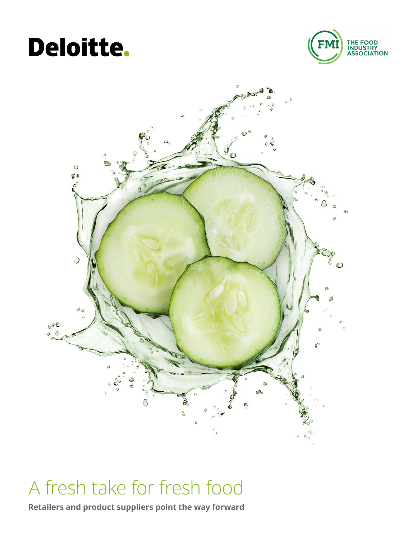# Deloitte.





# A fresh take for fresh food

**Retailers and product suppliers point the way forward**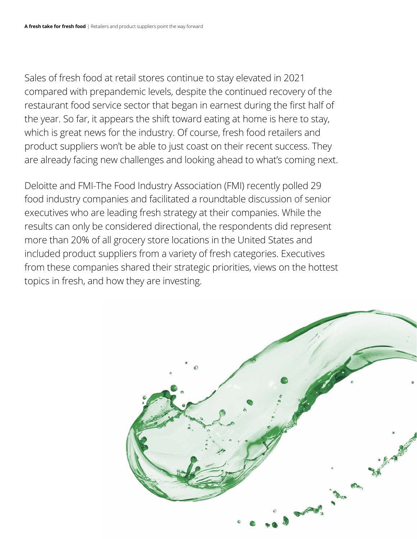Sales of fresh food at retail stores continue to stay elevated in 2021 compared with prepandemic levels, despite the continued recovery of the restaurant food service sector that began in earnest during the first half of the year. So far, it appears the shift toward eating at home is here to stay, which is great news for the industry. Of course, fresh food retailers and product suppliers won't be able to just coast on their recent success. They are already facing new challenges and looking ahead to what's coming next.

Deloitte and FMI-The Food Industry Association (FMI) recently polled 29 food industry companies and facilitated a roundtable discussion of senior executives who are leading fresh strategy at their companies. While the results can only be considered directional, the respondents did represent more than 20% of all grocery store locations in the United States and included product suppliers from a variety of fresh categories. Executives from these companies shared their strategic priorities, views on the hottest topics in fresh, and how they are investing.

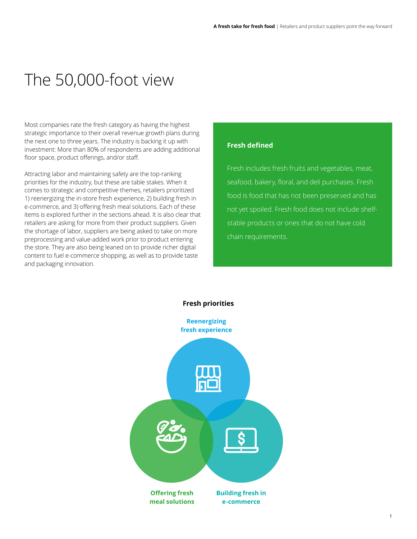### The 50,000-foot view

Most companies rate the fresh category as having the highest strategic importance to their overall revenue growth plans during the next one to three years. The industry is backing it up with investment: More than 80% of respondents are adding additional floor space, product offerings, and/or staff.

Attracting labor and maintaining safety are the top-ranking priorities for the industry, but these are table stakes. When it comes to strategic and competitive themes, retailers prioritized 1) reenergizing the in-store fresh experience, 2) building fresh in e-commerce, and 3) offering fresh meal solutions. Each of these items is explored further in the sections ahead. It is also clear that retailers are asking for more from their product suppliers. Given the shortage of labor, suppliers are being asked to take on more preprocessing and value-added work prior to product entering the store. They are also being leaned on to provide richer digital content to fuel e-commerce shopping, as well as to provide taste and packaging innovation.

#### **Fresh defined**

Fresh includes fresh fruits and vegetables, meat, seafood, bakery, floral, and deli purchases. Fresh food is food that has not been preserved and has not yet spoiled. Fresh food does not include shelfstable products or ones that do not have cold chain requirements.

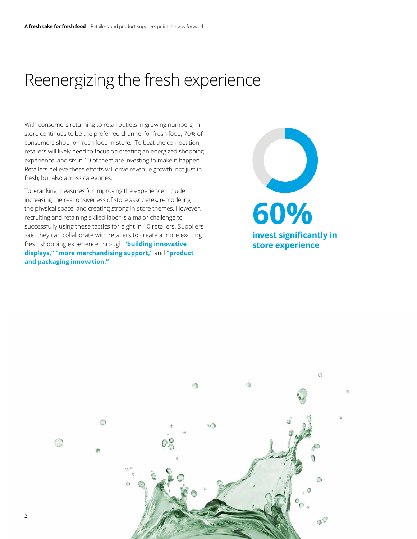### <span id="page-3-0"></span>Reenergizing the fresh experience

With consumers returning to retail outlets in growing numbers, instore continues to be the preferred channel for fresh food; 70% of consumers shop for fresh food in-store. To beat the competition, retailers will likely need to focus on creating an energized shopping experience, and six in 10 of them are investing to make it happen. Retailers believe these efforts will drive revenue growth, not just in fresh, but also across categories.

Top-ranking measures for improving the experience include increasing the responsiveness of store associates, remodeling the physical space, and creating strong in-store themes. However, recruiting and retaining skilled labor is a major challenge to successfully using these tactics for eight in 10 retailers. Suppliers said they can collaborate with retailers to create a more exciting fresh shopping experience through **"building innovative displays," "more merchandising support,"** and **"product and packaging innovation."**

**60% invest significantly in store experience**

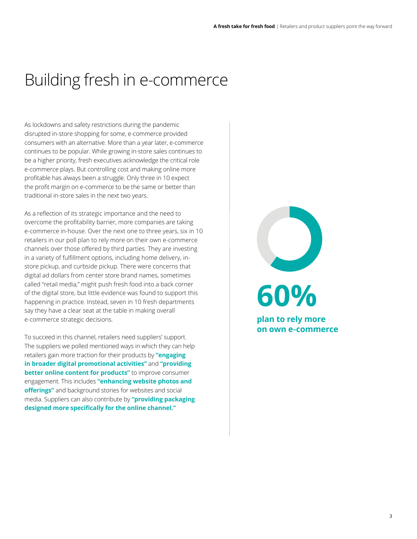## <span id="page-4-0"></span>Building fresh in e-commerce

As lockdowns and safety restrictions during the pandemic disrupted in-store shopping for some, e-commerce provided consumers with an alternative. More than a year later, e-commerce continues to be popular. While growing in-store sales continues to be a higher priority, fresh executives acknowledge the critical role e-commerce plays. But controlling cost and making online more profitable has always been a struggle. Only three in 10 expect the profit margin on e-commerce to be the same or better than traditional in-store sales in the next two years.

As a reflection of its strategic importance and the need to overcome the profitability barrier, more companies are taking e-commerce in-house. Over the next one to three years, six in 10 retailers in our poll plan to rely more on their own e-commerce channels over those offered by third parties. They are investing in a variety of fulfillment options, including home delivery, instore pickup, and curbside pickup. There were concerns that digital ad dollars from center store brand names, sometimes called "retail media," might push fresh food into a back corner of the digital store, but little evidence was found to support this happening in practice. Instead, seven in 10 fresh departments say they have a clear seat at the table in making overall e-commerce strategic decisions.

To succeed in this channel, retailers need suppliers' support. The suppliers we polled mentioned ways in which they can help retailers gain more traction for their products by **"engaging in broader digital promotional activities"** and **"providing better online content for products"** to improve consumer engagement. This includes **"enhancing website photos and offerings"** and background stories for websites and social media. Suppliers can also contribute by **"providing packaging designed more specifically for the online channel."**

**60% plan to rely more on own e-commerce**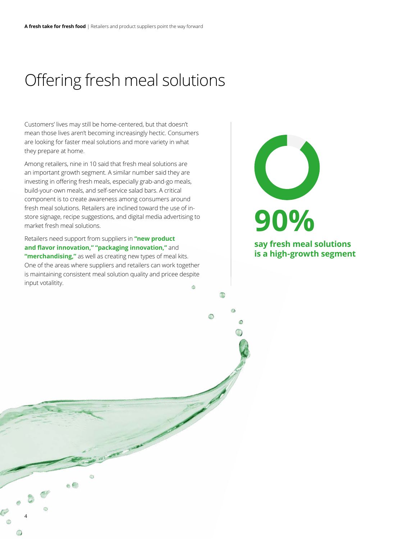## <span id="page-5-0"></span>Offering fresh meal solutions

Customers' lives may still be home-centered, but that doesn't mean those lives aren't becoming increasingly hectic. Consumers are looking for faster meal solutions and more variety in what they prepare at home.

Among retailers, nine in 10 said that fresh meal solutions are an important growth segment. A similar number said they are investing in offering fresh meals, especially grab-and-go meals, build-your-own meals, and self-service salad bars. A critical component is to create awareness among consumers around fresh meal solutions. Retailers are inclined toward the use of instore signage, recipe suggestions, and digital media advertising to market fresh meal solutions.

Retailers need support from suppliers in **"new product and flavor innovation," "packaging innovation,"** and **"merchandising,"** as well as creating new types of meal kits. One of the areas where suppliers and retailers can work together is maintaining consistent meal solution quality and pricee despite input votalitity. the microsocial schemes securities and interaction and the control of the suggestions, and digital media absentsing to<br>hard Recale support from suppliers in "new product<br>Recales note that provides a result of the support o

4

**say fresh meal solutions** 

**is a high-growth segment**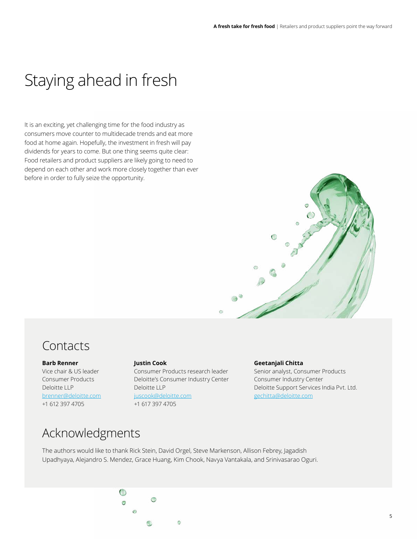### Staying ahead in fresh

It is an exciting, yet challenging time for the food industry as consumers move counter to multidecade trends and eat more food at home again. Hopefully, the investment in fresh will pay dividends for years to come. But one thing seems quite clear: Food retailers and product suppliers are likely going to need to depend on each other and work more closely together than ever before in order to fully seize the opportunity.



### Contacts

#### **Barb Renner**

Vice chair & US leader Consumer Products Deloitte LLP [brenner@deloitte.com](mailto:brenner%40deloitte.com?subject=) +1 612 397 4705

**Justin Cook** Consumer Products research leader Deloitte's Consumer Industry Center

juscook@deloitte.com +1 617 397 4705

Deloitte LLP

#### **Geetanjali Chitta**

Senior analyst, Consumer Products Consumer Industry Center Deloitte Support Services India Pvt. Ltd. [gechitta@deloitte.com](mailto:gechitta%40deloitte.com?subject=)

#### Acknowledgments

The authors would like to thank Rick Stein, David Orgel, Steve Markenson, Allison Febrey, Jagadish Upadhyaya, Alejandro S. Mendez, Grace Huang, Kim Chook, Navya Vantakala, and Srinivasarao Oguri.